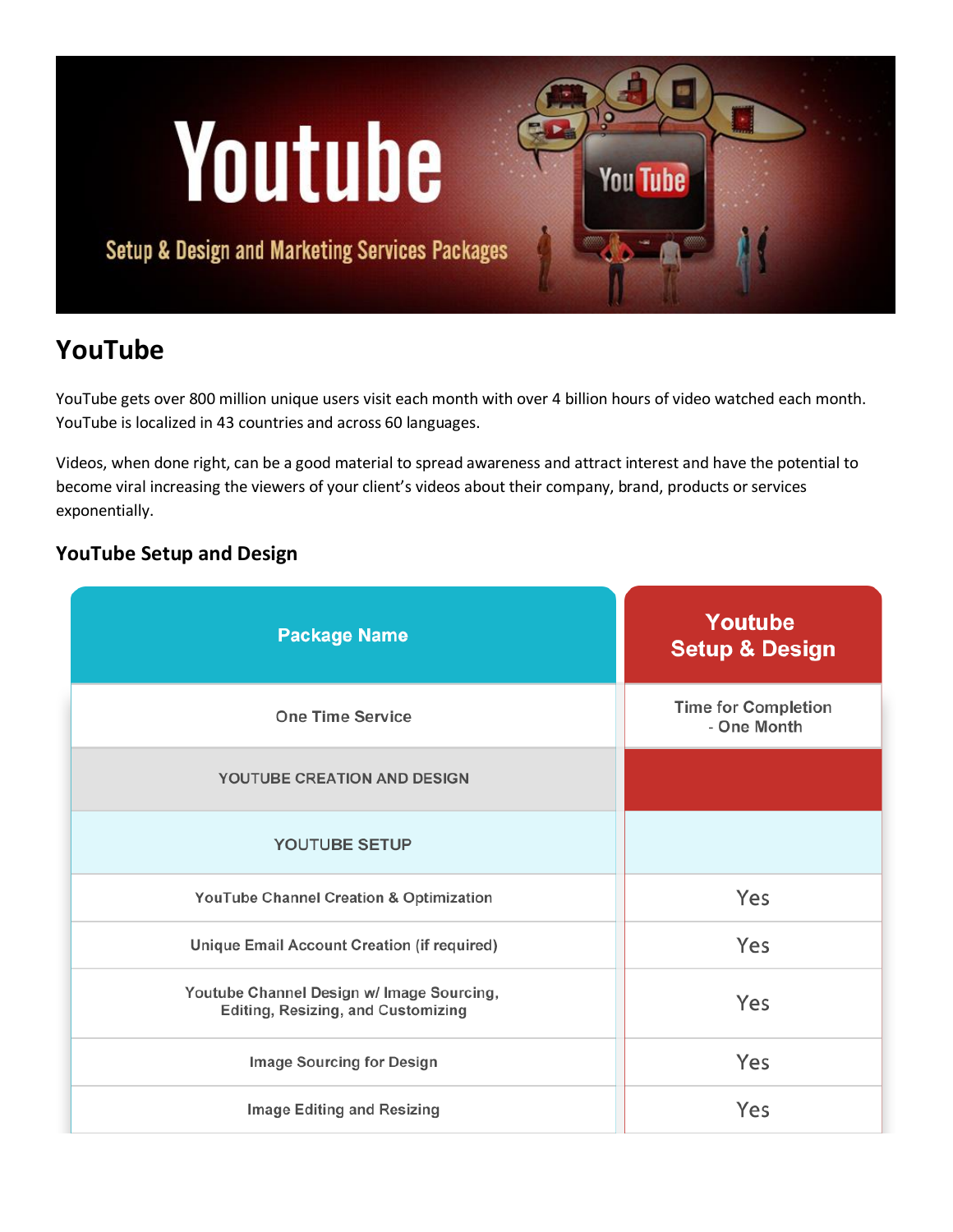# Youtube

**Setup & Design and Marketing Services Packages** 

# **YouTube**

YouTube gets over 800 million unique users visit each month with over 4 billion hours of video watched each month. YouTube is localized in 43 countries and across 60 languages.

**You Tube** 

Videos, when done right, can be a good material to spread awareness and attract interest and have the potential to become viral increasing the viewers of your client's videos about their company, brand, products or services exponentially.

### **YouTube Setup and Design**

| <b>Package Name</b>                                                             | Youtube<br><b>Setup &amp; Design</b>      |  |
|---------------------------------------------------------------------------------|-------------------------------------------|--|
| <b>One Time Service</b>                                                         | <b>Time for Completion</b><br>- One Month |  |
| YOUTUBE CREATION AND DESIGN                                                     |                                           |  |
| <b>YOUTUBE SETUP</b>                                                            |                                           |  |
| YouTube Channel Creation & Optimization                                         | Yes                                       |  |
| Unique Email Account Creation (if required)                                     | Yes                                       |  |
| Youtube Channel Design w/ Image Sourcing,<br>Editing, Resizing, and Customizing | Yes                                       |  |
| Image Sourcing for Design                                                       | Yes                                       |  |
| Image Editing and Resizing                                                      | Yes                                       |  |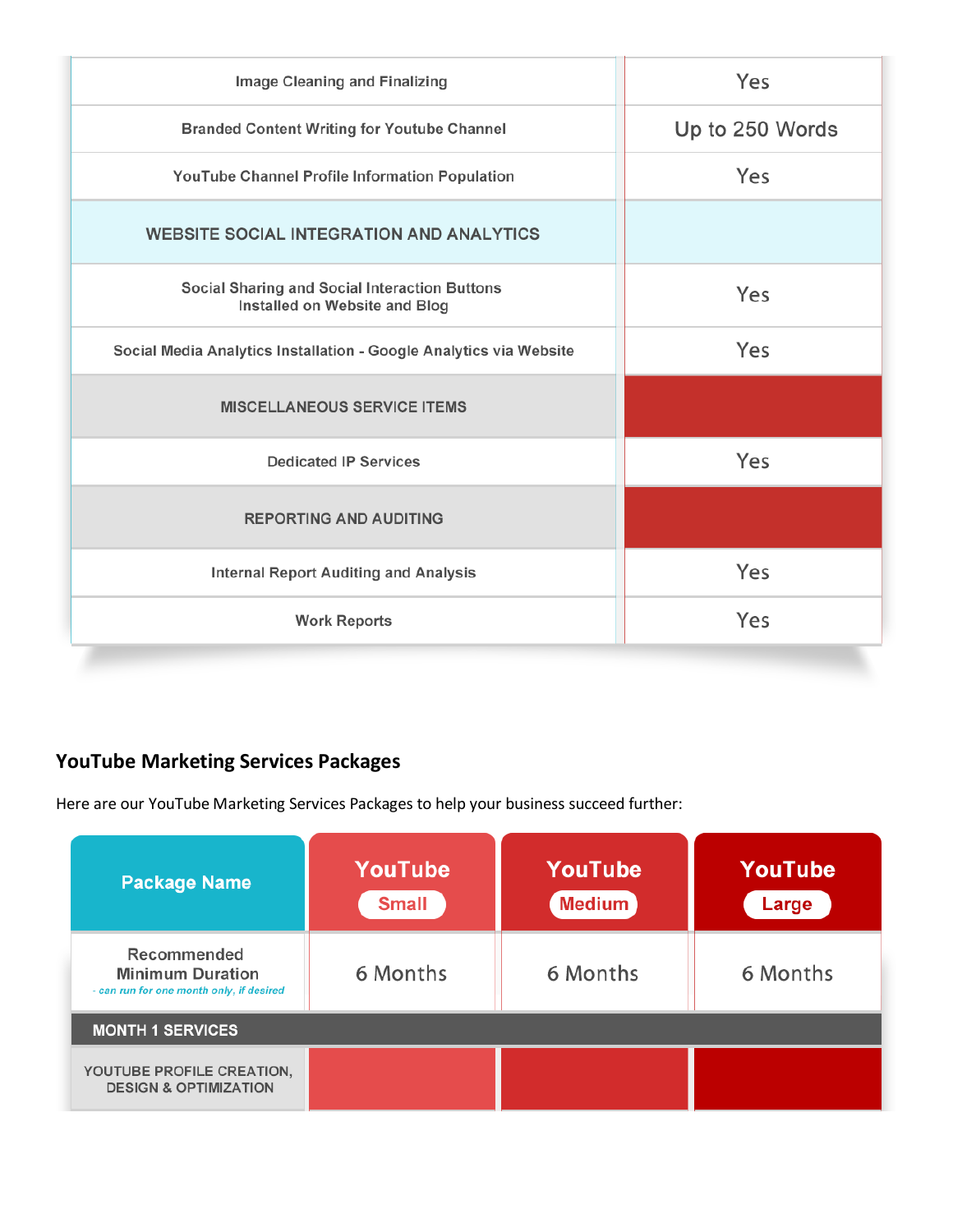| Image Cleaning and Finalizing                                                  | Yes             |  |
|--------------------------------------------------------------------------------|-----------------|--|
| <b>Branded Content Writing for Youtube Channel</b>                             | Up to 250 Words |  |
| YouTube Channel Profile Information Population                                 | Yes             |  |
| <b>WEBSITE SOCIAL INTEGRATION AND ANALYTICS</b>                                |                 |  |
| Social Sharing and Social Interaction Buttons<br>Installed on Website and Blog | Yes             |  |
| Social Media Analytics Installation - Google Analytics via Website             | Yes             |  |
| <b>MISCELLANEOUS SERVICE ITEMS</b>                                             |                 |  |
| <b>Dedicated IP Services</b>                                                   | Yes             |  |
| <b>REPORTING AND AUDITING</b>                                                  |                 |  |
| <b>Internal Report Auditing and Analysis</b>                                   | Yes             |  |
| <b>Work Reports</b>                                                            | Yes             |  |

## **YouTube Marketing Services Packages**

Here are our YouTube Marketing Services Packages to help your business succeed further:

| <b>Package Name</b>                                                                | YouTube<br><b>Small</b> | YouTube<br><b>Medium</b> | YouTube<br>Large |  |  |
|------------------------------------------------------------------------------------|-------------------------|--------------------------|------------------|--|--|
| Recommended<br><b>Minimum Duration</b><br>- can run for one month only, if desired | 6 Months                | 6 Months                 | 6 Months         |  |  |
| <b>MONTH 1 SERVICES</b>                                                            |                         |                          |                  |  |  |
| YOUTUBE PROFILE CREATION,<br><b>DESIGN &amp; OPTIMIZATION</b>                      |                         |                          |                  |  |  |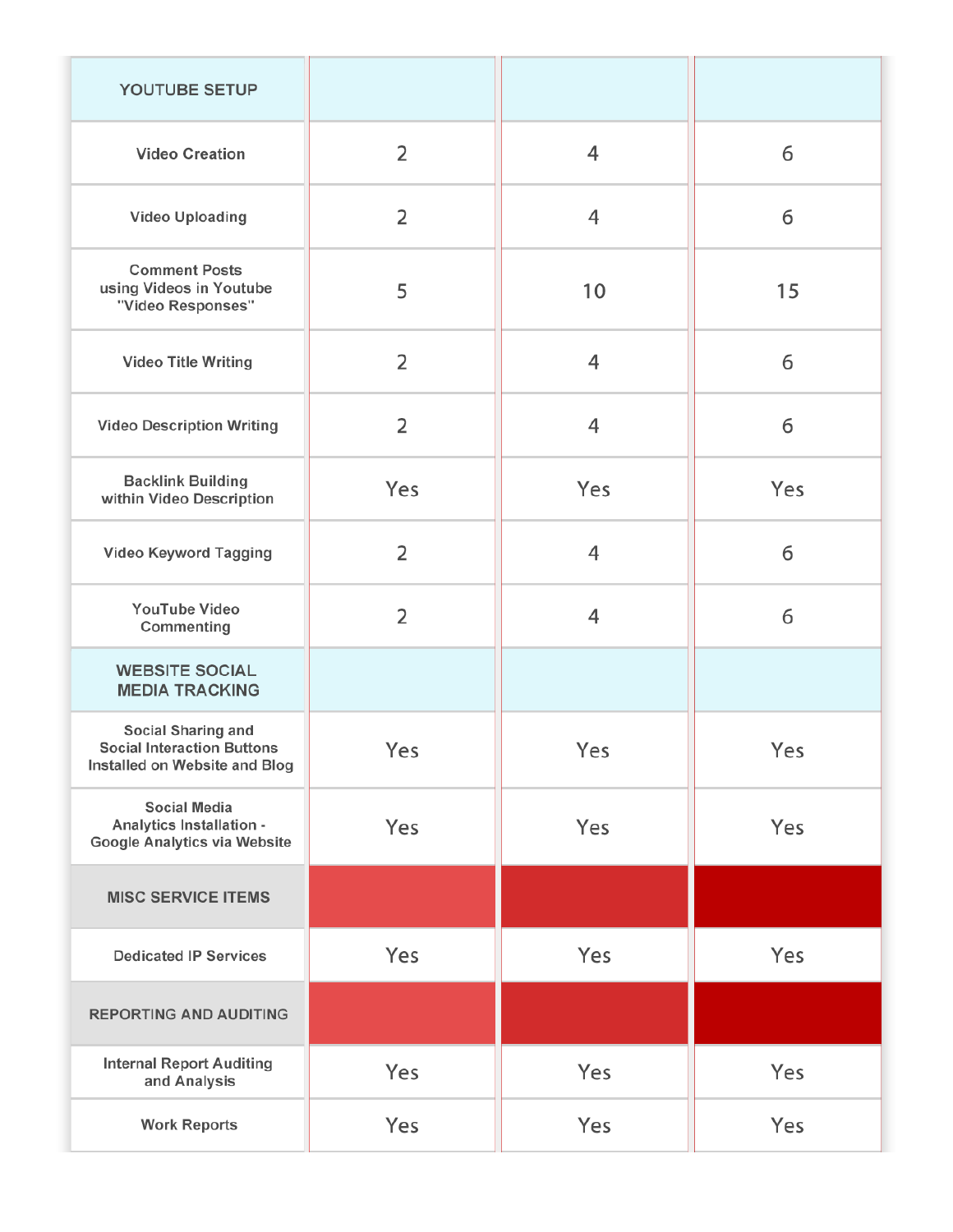| YOUTUBE SETUP                                                                            |                |     |     |
|------------------------------------------------------------------------------------------|----------------|-----|-----|
| <b>Video Creation</b>                                                                    | $\overline{2}$ | 4   | 6   |
| Video Uploading                                                                          | $\overline{2}$ | 4   | 6   |
| <b>Comment Posts</b><br>using Videos in Youtube<br>"Video Responses"                     | 5              | 10  | 15  |
| Video Title Writing                                                                      | $\overline{2}$ | 4   | 6   |
| <b>Video Description Writing</b>                                                         | $\overline{2}$ | 4   | 6   |
| <b>Backlink Building</b><br>within Video Description                                     | Yes            | Yes | Yes |
| Video Keyword Tagging                                                                    | $\overline{2}$ | 4   | 6   |
| YouTube Video<br>Commenting                                                              | $\overline{2}$ | 4   | 6   |
| <b>WEBSITE SOCIAL</b><br><b>MEDIA TRACKING</b>                                           |                |     |     |
| Social Sharing and<br><b>Social Interaction Buttons</b><br>Installed on Website and Blog | Yes            | Yes | Yes |
| <b>Social Media</b><br>Analytics Installation -<br>Google Analytics via Website          | Yes            | Yes | Yes |
| <b>MISC SERVICE ITEMS</b>                                                                |                |     |     |
| <b>Dedicated IP Services</b>                                                             | Yes            | Yes | Yes |
| <b>REPORTING AND AUDITING</b>                                                            |                |     |     |
| <b>Internal Report Auditing</b><br>and Analysis                                          | Yes            | Yes | Yes |
| <b>Work Reports</b>                                                                      | Yes            | Yes | Yes |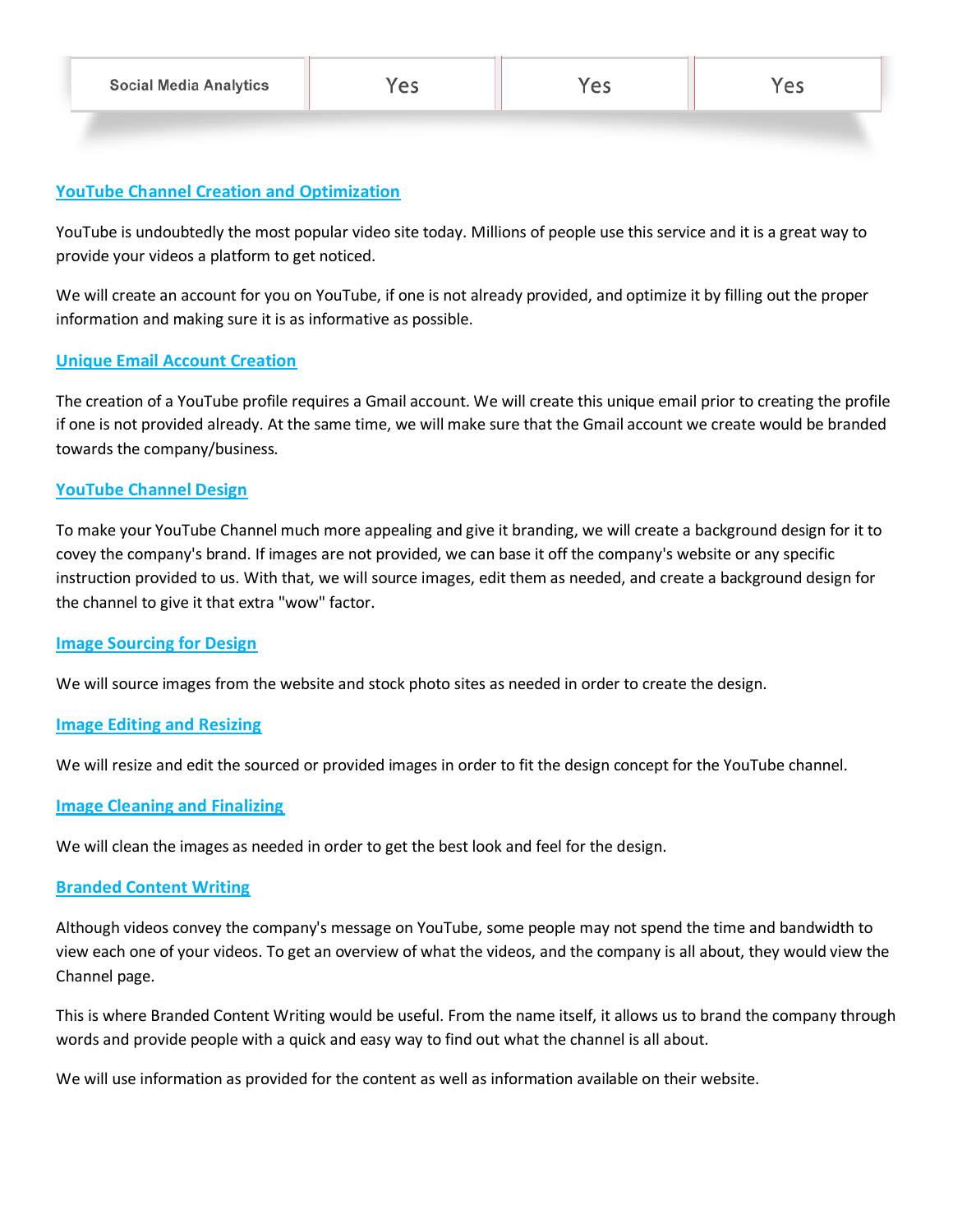#### **YouTube Channel Creation and Optimization**

YouTube is undoubtedly the most popular video site today. Millions of people use this service and it is a great way to provide your videos a platform to get noticed.

We will create an account for you on YouTube, if one is not already provided, and optimize it by filling out the proper information and making sure it is as informative as possible.

#### **Unique Email Account Creation**

The creation of a YouTube profile requires a Gmail account. We will create this unique email prior to creating the profile if one is not provided already. At the same time, we will make sure that the Gmail account we create would be branded towards the company/business.

#### **YouTube Channel Design**

To make your YouTube Channel much more appealing and give it branding, we will create a background design for it to covey the company's brand. If images are not provided, we can base it off the company's website or any specific instruction provided to us. With that, we will source images, edit them as needed, and create a background design for the channel to give it that extra "wow" factor.

#### **Image Sourcing for Design**

We will source images from the website and stock photo sites as needed in order to create the design.

#### **Image Editing and Resizing**

We will resize and edit the sourced or provided images in order to fit the design concept for the YouTube channel.

#### **Image Cleaning and Finalizing**

We will clean the images as needed in order to get the best look and feel for the design.

#### **Branded Content Writing**

Although videos convey the company's message on YouTube, some people may not spend the time and bandwidth to view each one of your videos. To get an overview of what the videos, and the company is all about, they would view the Channel page.

This is where Branded Content Writing would be useful. From the name itself, it allows us to brand the company through words and provide people with a quick and easy way to find out what the channel is all about.

We will use information as provided for the content as well as information available on their website.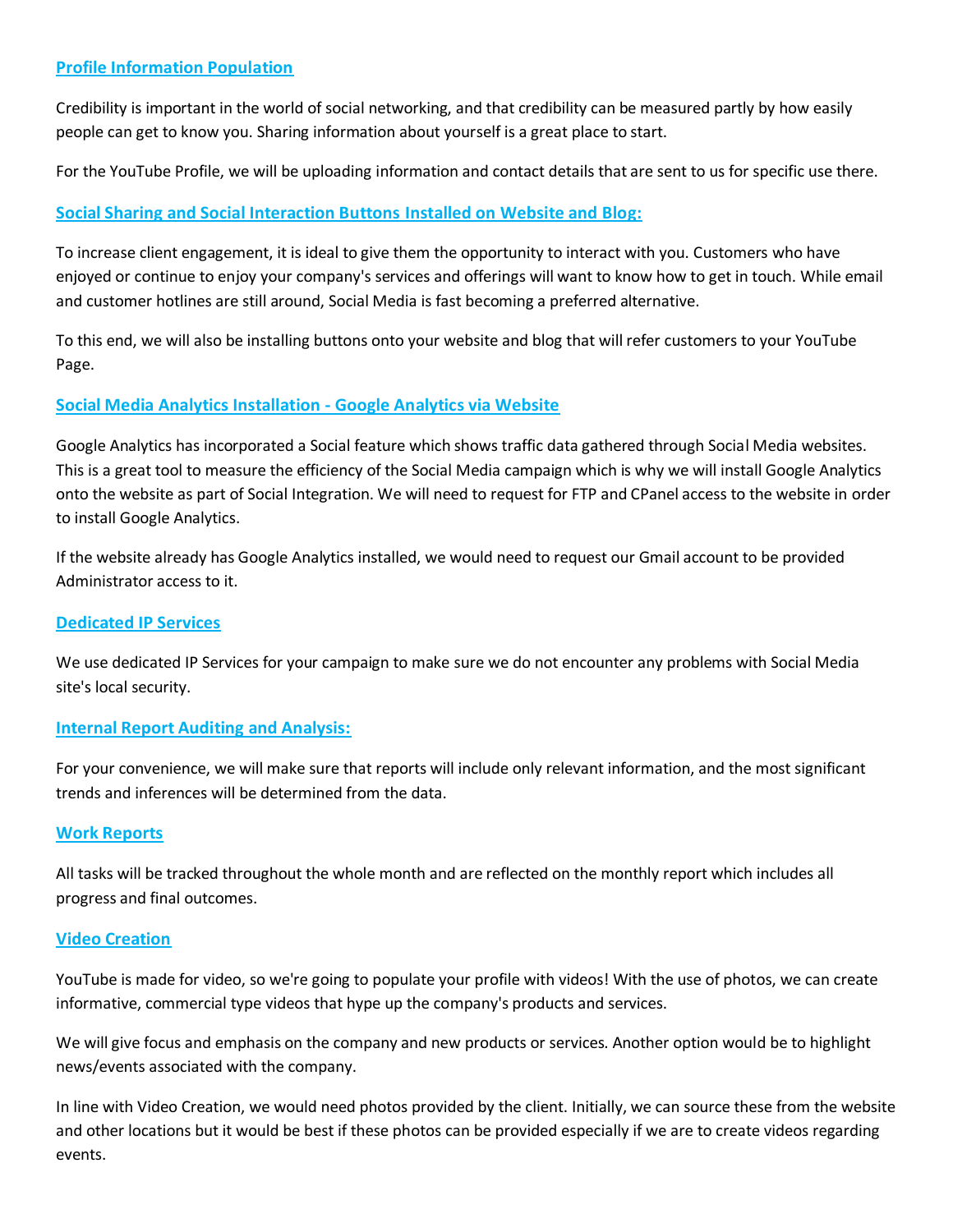#### **Profile Information Population**

Credibility is important in the world of social networking, and that credibility can be measured partly by how easily people can get to know you. Sharing information about yourself is a great place to start.

For the YouTube Profile, we will be uploading information and contact details that are sent to us for specific use there.

#### **Social Sharing and Social Interaction Buttons Installed on Website and Blog:**

To increase client engagement, it is ideal to give them the opportunity to interact with you. Customers who have enjoyed or continue to enjoy your company's services and offerings will want to know how to get in touch. While email and customer hotlines are still around, Social Media is fast becoming a preferred alternative.

To this end, we will also be installing buttons onto your website and blog that will refer customers to your YouTube Page.

#### **Social Media Analytics Installation - Google Analytics via Website**

Google Analytics has incorporated a Social feature which shows traffic data gathered through Social Media websites. This is a great tool to measure the efficiency of the Social Media campaign which is why we will install Google Analytics onto the website as part of Social Integration. We will need to request for FTP and CPanel access to the website in order to install Google Analytics.

If the website already has Google Analytics installed, we would need to request our Gmail account to be provided Administrator access to it.

#### **Dedicated IP Services**

We use dedicated IP Services for your campaign to make sure we do not encounter any problems with Social Media site's local security.

#### **Internal Report Auditing and Analysis:**

For your convenience, we will make sure that reports will include only relevant information, and the most significant trends and inferences will be determined from the data.

#### **Work Reports**

All tasks will be tracked throughout the whole month and are reflected on the monthly report which includes all progress and final outcomes.

#### **Video Creation**

YouTube is made for video, so we're going to populate your profile with videos! With the use of photos, we can create informative, commercial type videos that hype up the company's products and services.

We will give focus and emphasis on the company and new products or services. Another option would be to highlight news/events associated with the company.

In line with Video Creation, we would need photos provided by the client. Initially, we can source these from the website and other locations but it would be best if these photos can be provided especially if we are to create videos regarding events.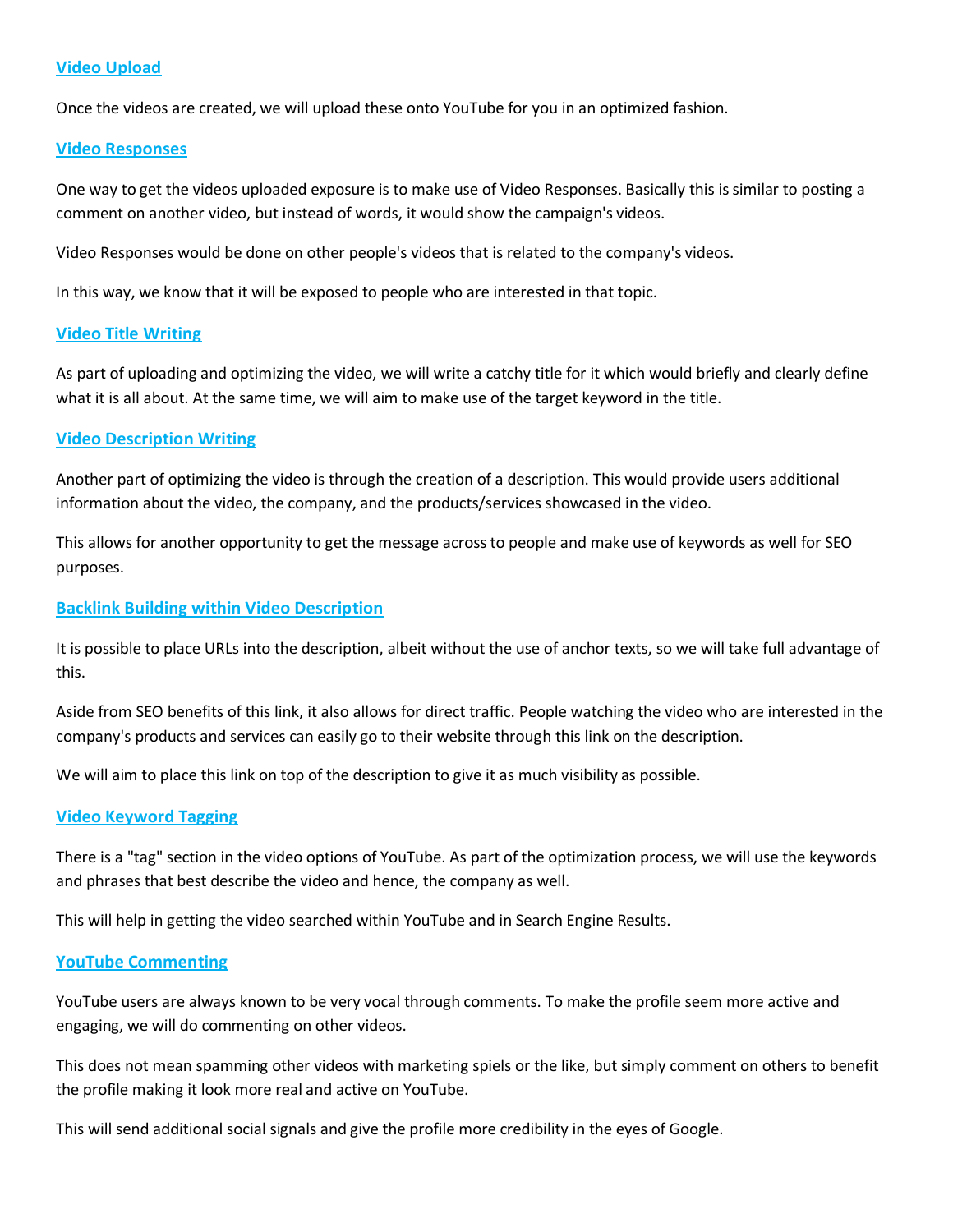#### **Video Upload**

Once the videos are created, we will upload these onto YouTube for you in an optimized fashion.

#### **Video Responses**

One way to get the videos uploaded exposure is to make use of Video Responses. Basically this is similar to posting a comment on another video, but instead of words, it would show the campaign's videos.

Video Responses would be done on other people's videos that is related to the company's videos.

In this way, we know that it will be exposed to people who are interested in that topic.

#### **Video Title Writing**

As part of uploading and optimizing the video, we will write a catchy title for it which would briefly and clearly define what it is all about. At the same time, we will aim to make use of the target keyword in the title.

#### **Video Description Writing**

Another part of optimizing the video is through the creation of a description. This would provide users additional information about the video, the company, and the products/services showcased in the video.

This allows for another opportunity to get the message across to people and make use of keywords as well for SEO purposes.

#### **Backlink Building within Video Description**

It is possible to place URLs into the description, albeit without the use of anchor texts, so we will take full advantage of this.

Aside from SEO benefits of this link, it also allows for direct traffic. People watching the video who are interested in the company's products and services can easily go to their website through this link on the description.

We will aim to place this link on top of the description to give it as much visibility as possible.

#### **Video Keyword Tagging**

There is a "tag" section in the video options of YouTube. As part of the optimization process, we will use the keywords and phrases that best describe the video and hence, the company as well.

This will help in getting the video searched within YouTube and in Search Engine Results.

#### **YouTube Commenting**

YouTube users are always known to be very vocal through comments. To make the profile seem more active and engaging, we will do commenting on other videos.

This does not mean spamming other videos with marketing spiels or the like, but simply comment on others to benefit the profile making it look more real and active on YouTube.

This will send additional social signals and give the profile more credibility in the eyes of Google.